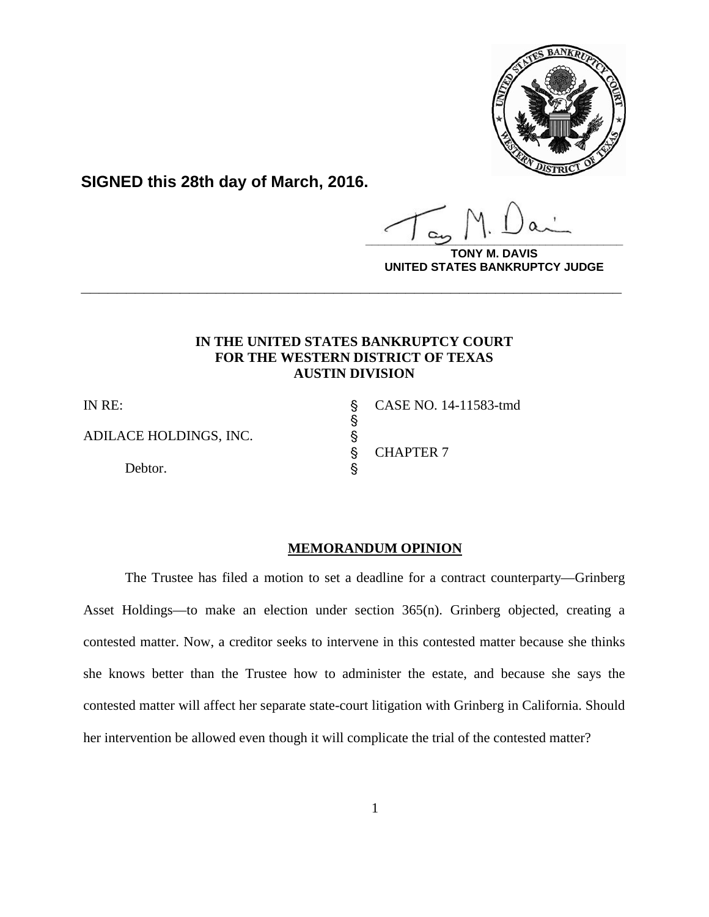

**SIGNED this 28th day of March, 2016.**

**\_\_\_\_\_\_\_\_\_\_\_\_\_\_\_\_\_\_\_\_\_\_\_\_\_\_\_\_\_\_\_\_\_\_\_\_\_\_\_\_**

**DAVIS UNITED STATES BANKRUPTCY JUDGE**

# **IN THE UNITED STATES BANKRUPTCY COURT FOR THE WESTERN DISTRICT OF TEXAS AUSTIN DIVISION**

**\_\_\_\_\_\_\_\_\_\_\_\_\_\_\_\_\_\_\_\_\_\_\_\_\_\_\_\_\_\_\_\_\_\_\_\_\_\_\_\_\_\_\_\_\_\_\_\_\_\_\_\_\_\_\_\_\_\_\_\_**

**့** တက

ADILACE HOLDINGS, INC. '

Debtor.

IN RE: ' CASE NO. 14-11583-tmd **CHAPTER 7** 

# **MEMORANDUM OPINION**

The Trustee has filed a motion to set a deadline for a contract counterparty—Grinberg Asset Holdings—to make an election under section 365(n). Grinberg objected, creating a contested matter. Now, a creditor seeks to intervene in this contested matter because she thinks she knows better than the Trustee how to administer the estate, and because she says the contested matter will affect her separate state-court litigation with Grinberg in California. Should her intervention be allowed even though it will complicate the trial of the contested matter?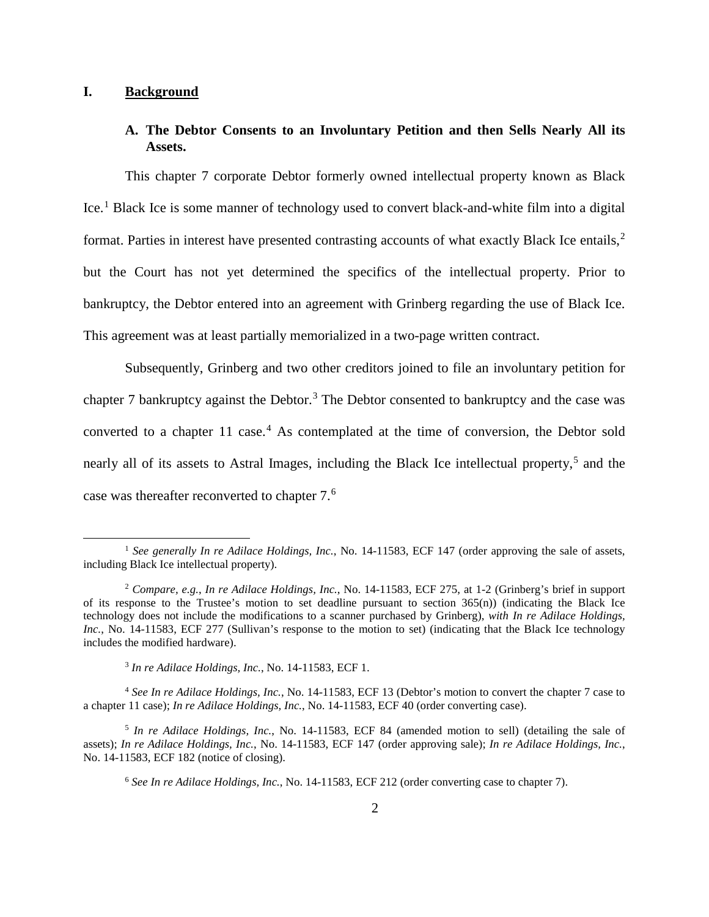### **I. Background**

l

### **A. The Debtor Consents to an Involuntary Petition and then Sells Nearly All its Assets.**

This chapter 7 corporate Debtor formerly owned intellectual property known as Black Ice.[1](#page-1-0) Black Ice is some manner of technology used to convert black-and-white film into a digital format. Parties in interest have presented contrasting accounts of what exactly Black Ice entails,<sup>[2](#page-1-1)</sup> but the Court has not yet determined the specifics of the intellectual property. Prior to bankruptcy, the Debtor entered into an agreement with Grinberg regarding the use of Black Ice. This agreement was at least partially memorialized in a two-page written contract.

Subsequently, Grinberg and two other creditors joined to file an involuntary petition for chapter 7 bankruptcy against the Debtor.<sup>[3](#page-1-2)</sup> The Debtor consented to bankruptcy and the case was converted to a chapter  $11 \text{ case.}^4$  $11 \text{ case.}^4$  As contemplated at the time of conversion, the Debtor sold nearly all of its assets to Astral Images, including the Black Ice intellectual property,<sup>[5](#page-1-4)</sup> and the case was thereafter reconverted to chapter 7.[6](#page-1-5)

<span id="page-1-0"></span><sup>&</sup>lt;sup>1</sup> See generally In re Adilace Holdings, Inc., No. 14-11583, ECF 147 (order approving the sale of assets, including Black Ice intellectual property).

<span id="page-1-1"></span><sup>2</sup> *Compare, e.g.*, *In re Adilace Holdings, Inc.*, No. 14-11583, ECF 275, at 1-2 (Grinberg's brief in support of its response to the Trustee's motion to set deadline pursuant to section  $365(n)$ ) (indicating the Black Ice technology does not include the modifications to a scanner purchased by Grinberg), *with In re Adilace Holdings, Inc.*, No. 14-11583, ECF 277 (Sullivan's response to the motion to set) (indicating that the Black Ice technology includes the modified hardware).

<sup>3</sup> *In re Adilace Holdings, Inc.*, No. 14-11583, ECF 1.

<span id="page-1-3"></span><span id="page-1-2"></span><sup>4</sup> *See In re Adilace Holdings, Inc.*, No. 14-11583, ECF 13 (Debtor's motion to convert the chapter 7 case to a chapter 11 case); *In re Adilace Holdings, Inc.*, No. 14-11583, ECF 40 (order converting case).

<span id="page-1-5"></span><span id="page-1-4"></span><sup>5</sup> *In re Adilace Holdings, Inc.*, No. 14-11583, ECF 84 (amended motion to sell) (detailing the sale of assets); *In re Adilace Holdings, Inc.*, No. 14-11583, ECF 147 (order approving sale); *In re Adilace Holdings, Inc.*, No. 14-11583, ECF 182 (notice of closing).

<sup>6</sup> *See In re Adilace Holdings, Inc.*, No. 14-11583, ECF 212 (order converting case to chapter 7).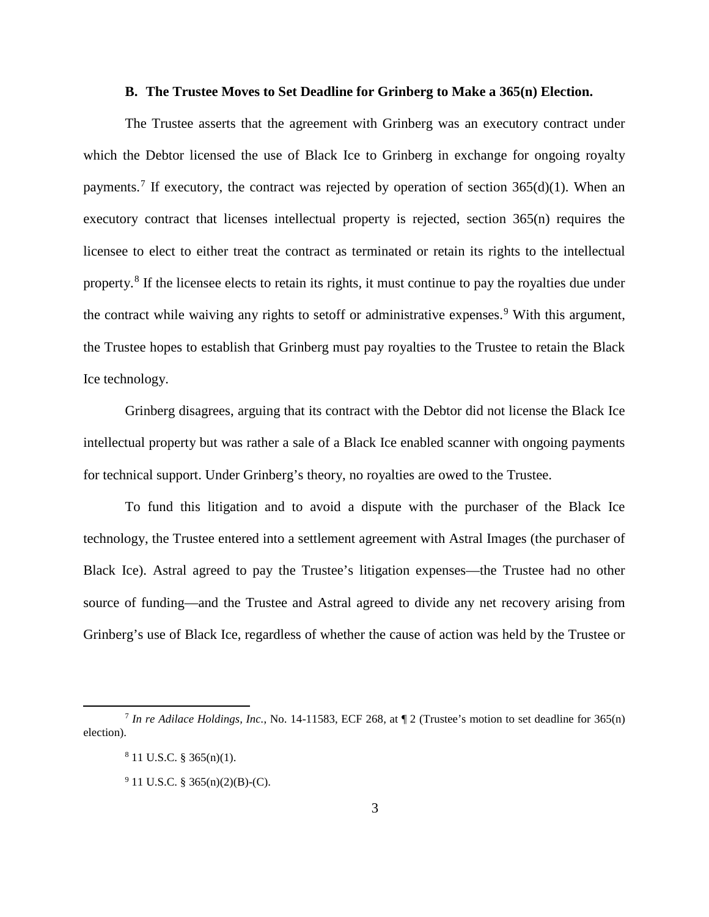#### **B. The Trustee Moves to Set Deadline for Grinberg to Make a 365(n) Election.**

The Trustee asserts that the agreement with Grinberg was an executory contract under which the Debtor licensed the use of Black Ice to Grinberg in exchange for ongoing royalty payments.<sup>[7](#page-2-0)</sup> If executory, the contract was rejected by operation of section  $365(d)(1)$ . When an executory contract that licenses intellectual property is rejected, section 365(n) requires the licensee to elect to either treat the contract as terminated or retain its rights to the intellectual property.[8](#page-2-1) If the licensee elects to retain its rights, it must continue to pay the royalties due under the contract while waiving any rights to setoff or administrative expenses.<sup>[9](#page-2-2)</sup> With this argument, the Trustee hopes to establish that Grinberg must pay royalties to the Trustee to retain the Black Ice technology.

Grinberg disagrees, arguing that its contract with the Debtor did not license the Black Ice intellectual property but was rather a sale of a Black Ice enabled scanner with ongoing payments for technical support. Under Grinberg's theory, no royalties are owed to the Trustee.

To fund this litigation and to avoid a dispute with the purchaser of the Black Ice technology, the Trustee entered into a settlement agreement with Astral Images (the purchaser of Black Ice). Astral agreed to pay the Trustee's litigation expenses—the Trustee had no other source of funding—and the Trustee and Astral agreed to divide any net recovery arising from Grinberg's use of Black Ice, regardless of whether the cause of action was held by the Trustee or

<span id="page-2-2"></span><span id="page-2-1"></span><span id="page-2-0"></span><sup>7</sup> *In re Adilace Holdings, Inc.*, No. 14-11583, ECF 268, at ¶ 2 (Trustee's motion to set deadline for 365(n) election).

 $8$  11 U.S.C. § 365(n)(1).

 $9$  11 U.S.C. § 365(n)(2)(B)-(C).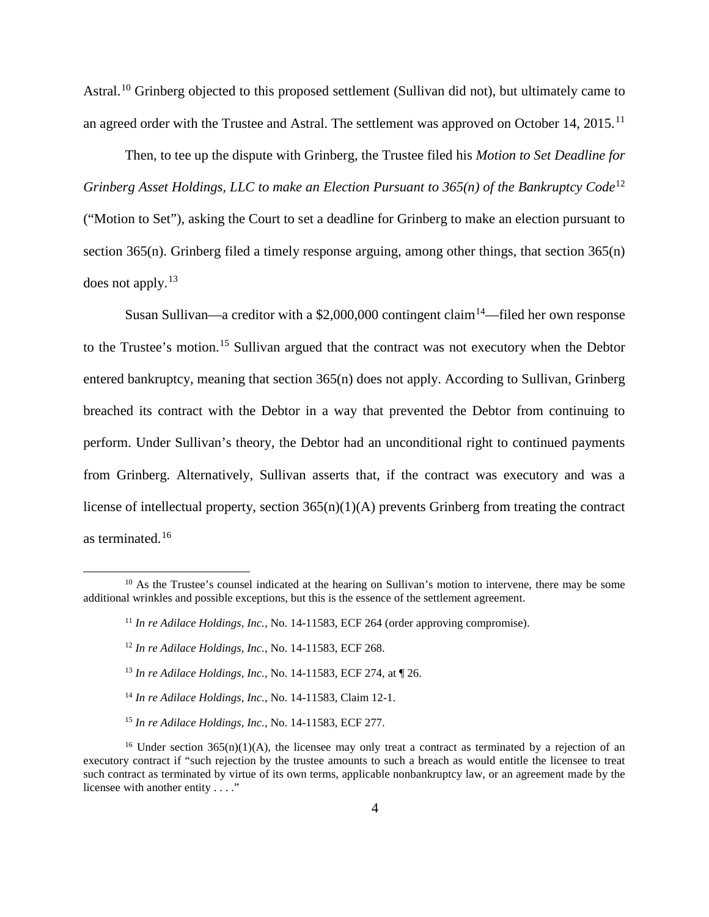Astral.<sup>[10](#page-3-0)</sup> Grinberg objected to this proposed settlement (Sullivan did not), but ultimately came to an agreed order with the Trustee and Astral. The settlement was approved on October 14, 2015.<sup>[11](#page-3-1)</sup>

Then, to tee up the dispute with Grinberg, the Trustee filed his *Motion to Set Deadline for Grinberg Asset Holdings, LLC to make an Election Pursuant to 365(n) of the Bankruptcy Code*<sup>[12](#page-3-2)</sup> ("Motion to Set"), asking the Court to set a deadline for Grinberg to make an election pursuant to section 365(n). Grinberg filed a timely response arguing, among other things, that section 365(n) does not apply.[13](#page-3-3)

Susan Sullivan—a creditor with a \$2,000,000 contingent claim<sup>[14](#page-3-4)</sup>—filed her own response to the Trustee's motion.<sup>[15](#page-3-5)</sup> Sullivan argued that the contract was not executory when the Debtor entered bankruptcy, meaning that section 365(n) does not apply. According to Sullivan, Grinberg breached its contract with the Debtor in a way that prevented the Debtor from continuing to perform. Under Sullivan's theory, the Debtor had an unconditional right to continued payments from Grinberg. Alternatively, Sullivan asserts that, if the contract was executory and was a license of intellectual property, section 365(n)(1)(A) prevents Grinberg from treating the contract as terminated.<sup>[16](#page-3-6)</sup>

 $\overline{\phantom{a}}$ 

<sup>14</sup> *In re Adilace Holdings, Inc.*, No. 14-11583, Claim 12-1.

<span id="page-3-2"></span><span id="page-3-1"></span><span id="page-3-0"></span><sup>&</sup>lt;sup>10</sup> As the Trustee's counsel indicated at the hearing on Sullivan's motion to intervene, there may be some additional wrinkles and possible exceptions, but this is the essence of the settlement agreement.

<sup>&</sup>lt;sup>11</sup> *In re Adilace Holdings, Inc., No.* 14-11583, ECF 264 (order approving compromise).

<sup>12</sup> *In re Adilace Holdings, Inc.*, No. 14-11583, ECF 268.

<sup>13</sup> *In re Adilace Holdings, Inc.*, No. 14-11583, ECF 274, at ¶ 26.

<sup>15</sup> *In re Adilace Holdings, Inc.*, No. 14-11583, ECF 277.

<span id="page-3-6"></span><span id="page-3-5"></span><span id="page-3-4"></span><span id="page-3-3"></span><sup>&</sup>lt;sup>16</sup> Under section 365(n)(1)(A), the licensee may only treat a contract as terminated by a rejection of an executory contract if "such rejection by the trustee amounts to such a breach as would entitle the licensee to treat such contract as terminated by virtue of its own terms, applicable nonbankruptcy law, or an agreement made by the licensee with another entity . . . ."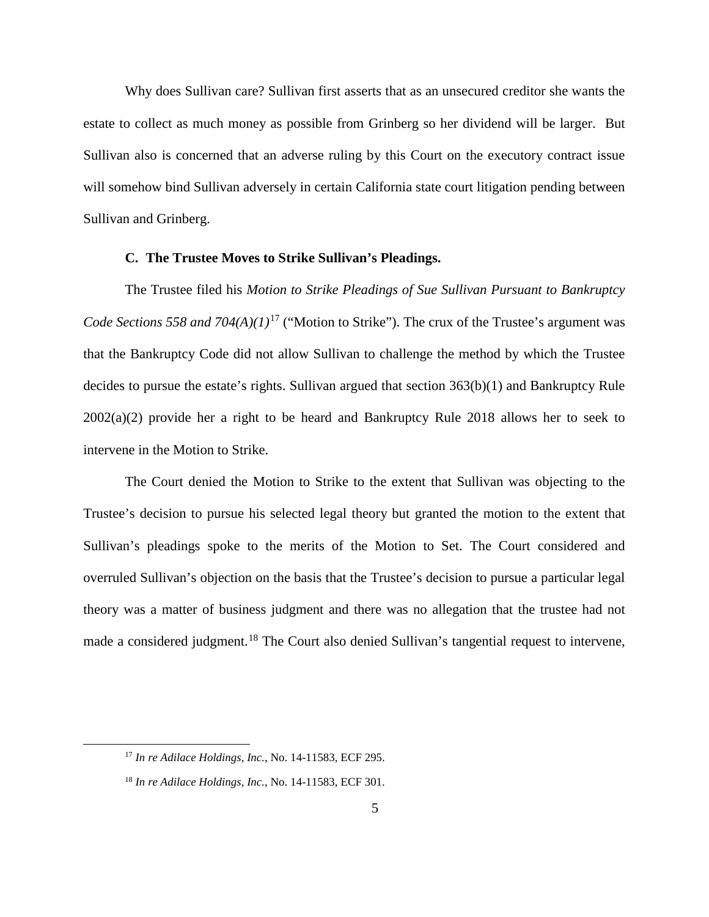Why does Sullivan care? Sullivan first asserts that as an unsecured creditor she wants the estate to collect as much money as possible from Grinberg so her dividend will be larger. But Sullivan also is concerned that an adverse ruling by this Court on the executory contract issue will somehow bind Sullivan adversely in certain California state court litigation pending between Sullivan and Grinberg.

#### **C. The Trustee Moves to Strike Sullivan's Pleadings.**

The Trustee filed his *Motion to Strike Pleadings of Sue Sullivan Pursuant to Bankruptcy Code Sections 558 and 704(A)(1)*<sup>[17](#page-4-0)</sup> ("Motion to Strike"). The crux of the Trustee's argument was that the Bankruptcy Code did not allow Sullivan to challenge the method by which the Trustee decides to pursue the estate's rights. Sullivan argued that section 363(b)(1) and Bankruptcy Rule 2002(a)(2) provide her a right to be heard and Bankruptcy Rule 2018 allows her to seek to intervene in the Motion to Strike.

The Court denied the Motion to Strike to the extent that Sullivan was objecting to the Trustee's decision to pursue his selected legal theory but granted the motion to the extent that Sullivan's pleadings spoke to the merits of the Motion to Set. The Court considered and overruled Sullivan's objection on the basis that the Trustee's decision to pursue a particular legal theory was a matter of business judgment and there was no allegation that the trustee had not made a considered judgment.<sup>[18](#page-4-1)</sup> The Court also denied Sullivan's tangential request to intervene,

<span id="page-4-0"></span><sup>17</sup> *In re Adilace Holdings, Inc.*, No. 14-11583, ECF 295.

<span id="page-4-1"></span><sup>18</sup> *In re Adilace Holdings, Inc.*, No. 14-11583, ECF 301.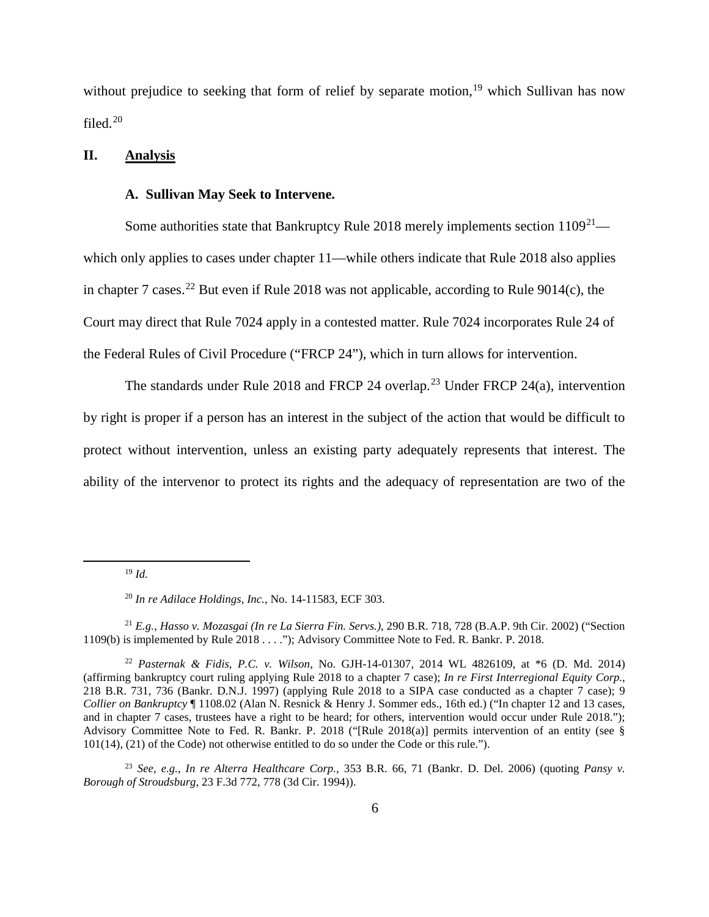without prejudice to seeking that form of relief by separate motion,<sup>[19](#page-5-0)</sup> which Sullivan has now filed.[20](#page-5-1)

### **II. Analysis**

### **A. Sullivan May Seek to Intervene.**

Some authorities state that Bankruptcy Rule 2018 merely implements section  $1109^{21}$  which only applies to cases under chapter 11—while others indicate that Rule 2018 also applies in chapter 7 cases.<sup>[22](#page-5-3)</sup> But even if Rule 2018 was not applicable, according to Rule 9014(c), the Court may direct that Rule 7024 apply in a contested matter. Rule 7024 incorporates Rule 24 of the Federal Rules of Civil Procedure ("FRCP 24"), which in turn allows for intervention.

The standards under Rule 2018 and FRCP 24 overlap.<sup>[23](#page-5-4)</sup> Under FRCP 24(a), intervention by right is proper if a person has an interest in the subject of the action that would be difficult to protect without intervention, unless an existing party adequately represents that interest. The ability of the intervenor to protect its rights and the adequacy of representation are two of the

<span id="page-5-0"></span>l

<sup>19</sup> *Id.*

<sup>20</sup> *In re Adilace Holdings, Inc.*, No. 14-11583, ECF 303.

<span id="page-5-2"></span><span id="page-5-1"></span><sup>21</sup> *E.g.*, *Hasso v. Mozasgai (In re La Sierra Fin. Servs.)*, 290 B.R. 718, 728 (B.A.P. 9th Cir. 2002) ("Section 1109(b) is implemented by Rule 2018 . . . ."); Advisory Committee Note to Fed. R. Bankr. P. 2018.

<span id="page-5-3"></span><sup>22</sup> *Pasternak & Fidis, P.C. v. Wilson*, No. GJH-14-01307, 2014 WL 4826109, at \*6 (D. Md. 2014) (affirming bankruptcy court ruling applying Rule 2018 to a chapter 7 case); *In re First Interregional Equity Corp.*, 218 B.R. 731, 736 (Bankr. D.N.J. 1997) (applying Rule 2018 to a SIPA case conducted as a chapter 7 case); 9 *Collier on Bankruptcy* ¶ 1108.02 (Alan N. Resnick & Henry J. Sommer eds., 16th ed.) ("In chapter 12 and 13 cases, and in chapter 7 cases, trustees have a right to be heard; for others, intervention would occur under Rule 2018."); Advisory Committee Note to Fed. R. Bankr. P. 2018 ("[Rule 2018(a)] permits intervention of an entity (see § 101(14), (21) of the Code) not otherwise entitled to do so under the Code or this rule.").

<span id="page-5-4"></span><sup>23</sup> *See, e.g.*, *In re Alterra Healthcare Corp.*, 353 B.R. 66, 71 (Bankr. D. Del. 2006) (quoting *Pansy v. Borough of Stroudsburg*, 23 F.3d 772, 778 (3d Cir. 1994)).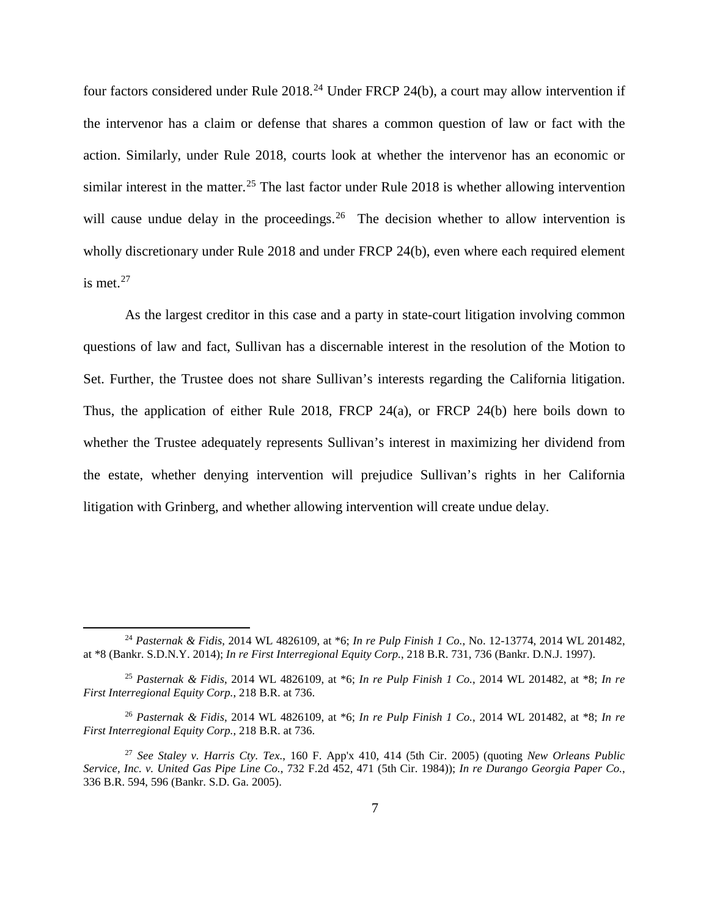four factors considered under Rule 2018<sup>[24](#page-6-0)</sup> Under FRCP 24(b), a court may allow intervention if the intervenor has a claim or defense that shares a common question of law or fact with the action. Similarly, under Rule 2018, courts look at whether the intervenor has an economic or similar interest in the matter.<sup>[25](#page-6-1)</sup> The last factor under Rule 2018 is whether allowing intervention will cause undue delay in the proceedings.<sup>[26](#page-6-2)</sup> The decision whether to allow intervention is wholly discretionary under Rule 2018 and under FRCP 24(b), even where each required element is met. $27$ 

As the largest creditor in this case and a party in state-court litigation involving common questions of law and fact, Sullivan has a discernable interest in the resolution of the Motion to Set. Further, the Trustee does not share Sullivan's interests regarding the California litigation. Thus, the application of either Rule 2018, FRCP 24(a), or FRCP 24(b) here boils down to whether the Trustee adequately represents Sullivan's interest in maximizing her dividend from the estate, whether denying intervention will prejudice Sullivan's rights in her California litigation with Grinberg, and whether allowing intervention will create undue delay.

<span id="page-6-0"></span><sup>24</sup> *Pasternak & Fidis*, 2014 WL 4826109, at \*6; *In re Pulp Finish 1 Co.*, No. 12-13774, 2014 WL 201482, at \*8 (Bankr. S.D.N.Y. 2014); *In re First Interregional Equity Corp.*, 218 B.R. 731, 736 (Bankr. D.N.J. 1997).

<span id="page-6-1"></span><sup>25</sup> *Pasternak & Fidis*, 2014 WL 4826109, at \*6; *In re Pulp Finish 1 Co.*, 2014 WL 201482, at \*8; *In re First Interregional Equity Corp.*, 218 B.R. at 736.

<span id="page-6-2"></span><sup>26</sup> *Pasternak & Fidis*, 2014 WL 4826109, at \*6; *In re Pulp Finish 1 Co.*, 2014 WL 201482, at \*8; *In re First Interregional Equity Corp.*, 218 B.R. at 736.

<span id="page-6-3"></span><sup>27</sup> *See Staley v. Harris Cty. Tex.*, 160 F. App'x 410, 414 (5th Cir. 2005) (quoting *New Orleans Public Service, Inc. v. United Gas Pipe Line Co.*, 732 F.2d 452, 471 (5th Cir. 1984)); *In re Durango Georgia Paper Co.*, 336 B.R. 594, 596 (Bankr. S.D. Ga. 2005).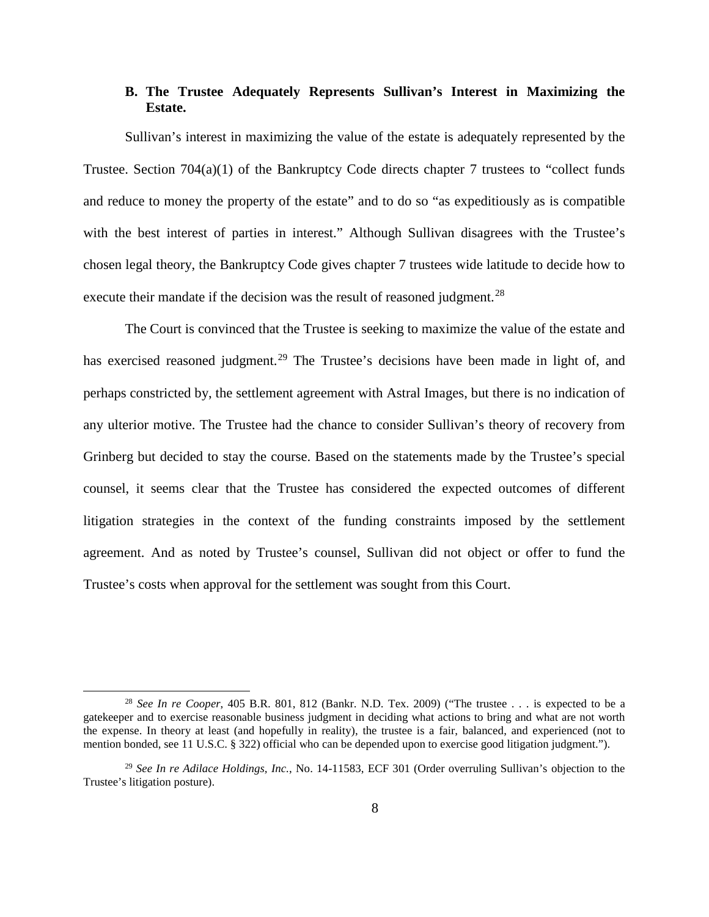# **B. The Trustee Adequately Represents Sullivan's Interest in Maximizing the Estate.**

Sullivan's interest in maximizing the value of the estate is adequately represented by the Trustee. Section  $704(a)(1)$  of the Bankruptcy Code directs chapter 7 trustees to "collect funds" and reduce to money the property of the estate" and to do so "as expeditiously as is compatible with the best interest of parties in interest." Although Sullivan disagrees with the Trustee's chosen legal theory, the Bankruptcy Code gives chapter 7 trustees wide latitude to decide how to execute their mandate if the decision was the result of reasoned judgment.<sup>[28](#page-7-0)</sup>

The Court is convinced that the Trustee is seeking to maximize the value of the estate and has exercised reasoned judgment.<sup>[29](#page-7-1)</sup> The Trustee's decisions have been made in light of, and perhaps constricted by, the settlement agreement with Astral Images, but there is no indication of any ulterior motive. The Trustee had the chance to consider Sullivan's theory of recovery from Grinberg but decided to stay the course. Based on the statements made by the Trustee's special counsel, it seems clear that the Trustee has considered the expected outcomes of different litigation strategies in the context of the funding constraints imposed by the settlement agreement. And as noted by Trustee's counsel, Sullivan did not object or offer to fund the Trustee's costs when approval for the settlement was sought from this Court.

<span id="page-7-0"></span><sup>28</sup> *See In re Cooper*, 405 B.R. 801, 812 (Bankr. N.D. Tex. 2009) ("The trustee . . . is expected to be a gatekeeper and to exercise reasonable business judgment in deciding what actions to bring and what are not worth the expense. In theory at least (and hopefully in reality), the trustee is a fair, balanced, and experienced (not to mention bonded, see 11 U.S.C. § 322) official who can be depended upon to exercise good litigation judgment.").

<span id="page-7-1"></span><sup>29</sup> *See In re Adilace Holdings, Inc.*, No. 14-11583, ECF 301 (Order overruling Sullivan's objection to the Trustee's litigation posture).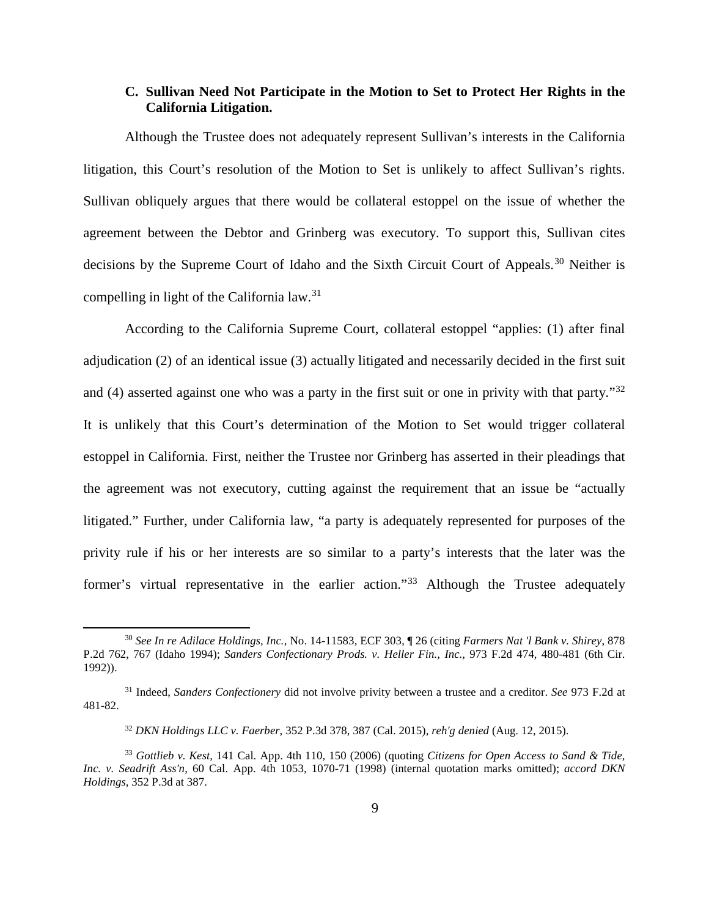## **C. Sullivan Need Not Participate in the Motion to Set to Protect Her Rights in the California Litigation.**

Although the Trustee does not adequately represent Sullivan's interests in the California litigation, this Court's resolution of the Motion to Set is unlikely to affect Sullivan's rights. Sullivan obliquely argues that there would be collateral estoppel on the issue of whether the agreement between the Debtor and Grinberg was executory. To support this, Sullivan cites decisions by the Supreme Court of Idaho and the Sixth Circuit Court of Appeals.<sup>[30](#page-8-0)</sup> Neither is compelling in light of the California law.[31](#page-8-1)

According to the California Supreme Court, collateral estoppel "applies: (1) after final adjudication (2) of an identical issue (3) actually litigated and necessarily decided in the first suit and (4) asserted against one who was a party in the first suit or one in privity with that party."<sup>[32](#page-8-2)</sup> It is unlikely that this Court's determination of the Motion to Set would trigger collateral estoppel in California. First, neither the Trustee nor Grinberg has asserted in their pleadings that the agreement was not executory, cutting against the requirement that an issue be "actually litigated." Further, under California law, "a party is adequately represented for purposes of the privity rule if his or her interests are so similar to a party's interests that the later was the former's virtual representative in the earlier action."<sup>[33](#page-8-3)</sup> Although the Trustee adequately

<span id="page-8-0"></span><sup>30</sup> *See In re Adilace Holdings, Inc.*, No. 14-11583, ECF 303, ¶ 26 (citing *Farmers Nat 'l Bank v. Shirey*, 878 P.2d 762, 767 (Idaho 1994); *Sanders Confectionary Prods. v. Heller Fin., Inc.*, 973 F.2d 474, 480-481 (6th Cir. 1992)).

<span id="page-8-1"></span><sup>31</sup> Indeed, *Sanders Confectionery* did not involve privity between a trustee and a creditor. *See* 973 F.2d at 481-82.

<sup>32</sup> *DKN Holdings LLC v. Faerber*, 352 P.3d 378, 387 (Cal. 2015), *reh'g denied* (Aug. 12, 2015).

<span id="page-8-3"></span><span id="page-8-2"></span><sup>33</sup> *Gottlieb v. Kest*, 141 Cal. App. 4th 110, 150 (2006) (quoting *Citizens for Open Access to Sand & Tide, Inc. v. Seadrift Ass'n*, 60 Cal. App. 4th 1053, 1070-71 (1998) (internal quotation marks omitted); *accord DKN Holdings*, 352 P.3d at 387.